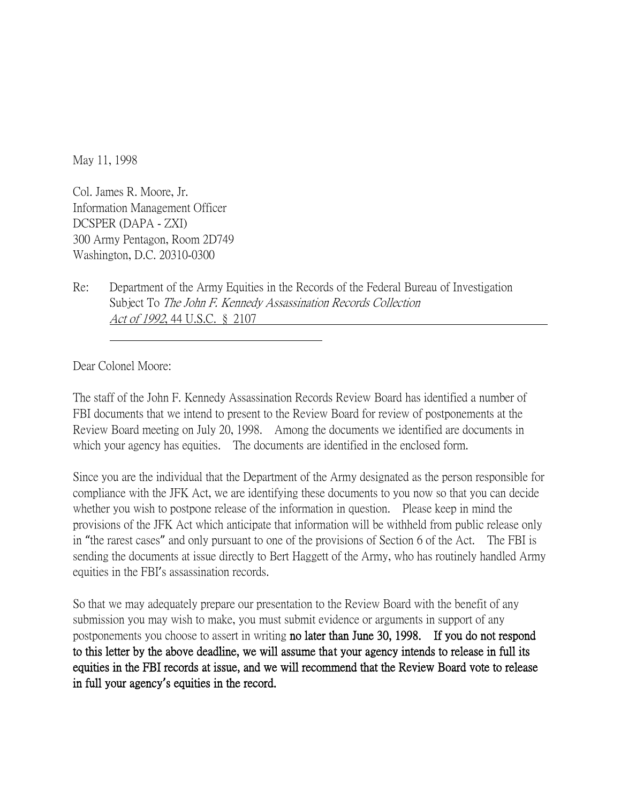May 11, 1998

Col. James R. Moore, Jr. Information Management Officer DCSPER (DAPA - ZXI) 300 Army Pentagon, Room 2D749 Washington, D.C. 20310-0300

Re: Department of the Army Equities in the Records of the Federal Bureau of Investigation Subject To *The John F. Kennedy Assassination Records Collection* Act of 1992, 44 U.S.C. § 2107

Dear Colonel Moore:

The staff of the John F. Kennedy Assassination Records Review Board has identified a number of FBI documents that we intend to present to the Review Board for review of postponements at the Review Board meeting on July 20, 1998. Among the documents we identified are documents in which your agency has equities. The documents are identified in the enclosed form.

Since you are the individual that the Department of the Army designated as the person responsible for compliance with the JFK Act, we are identifying these documents to you now so that you can decide whether you wish to postpone release of the information in question. Please keep in mind the provisions of the JFK Act which anticipate that information will be withheld from public release only in "the rarest cases" and only pursuant to one of the provisions of Section 6 of the Act. The FBI is sending the documents at issue directly to Bert Haggett of the Army, who has routinely handled Army equities in the FBI's assassination records.

So that we may adequately prepare our presentation to the Review Board with the benefit of any submission you may wish to make, you must submit evidence or arguments in support of any postponements you choose to assert in writing no later than June 30, 1998. If you do not respond to this letter by the above deadline, we will assume that your agency intends to release in full its equities in the FBI records at issue, and we will recommend that the Review Board vote to release in full your agency**'**s equities in the record.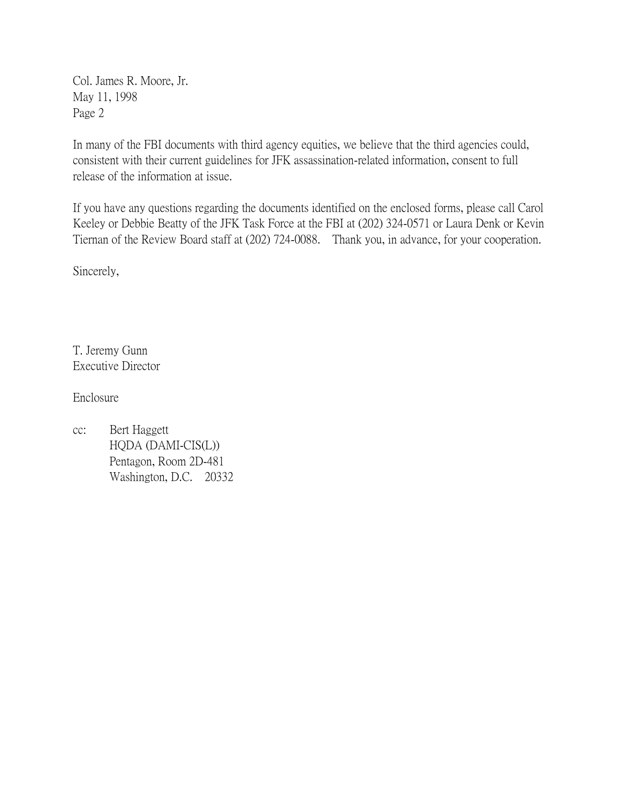Col. James R. Moore, Jr. May 11, 1998 Page 2

In many of the FBI documents with third agency equities, we believe that the third agencies could, consistent with their current guidelines for JFK assassination-related information, consent to full release of the information at issue.

If you have any questions regarding the documents identified on the enclosed forms, please call Carol Keeley or Debbie Beatty of the JFK Task Force at the FBI at (202) 324-0571 or Laura Denk or Kevin Tiernan of the Review Board staff at (202) 724-0088. Thank you, in advance, for your cooperation.

Sincerely,

T. Jeremy Gunn Executive Director

Enclosure

cc: Bert Haggett HQDA (DAMI-CIS(L)) Pentagon, Room 2D-481 Washington, D.C. 20332